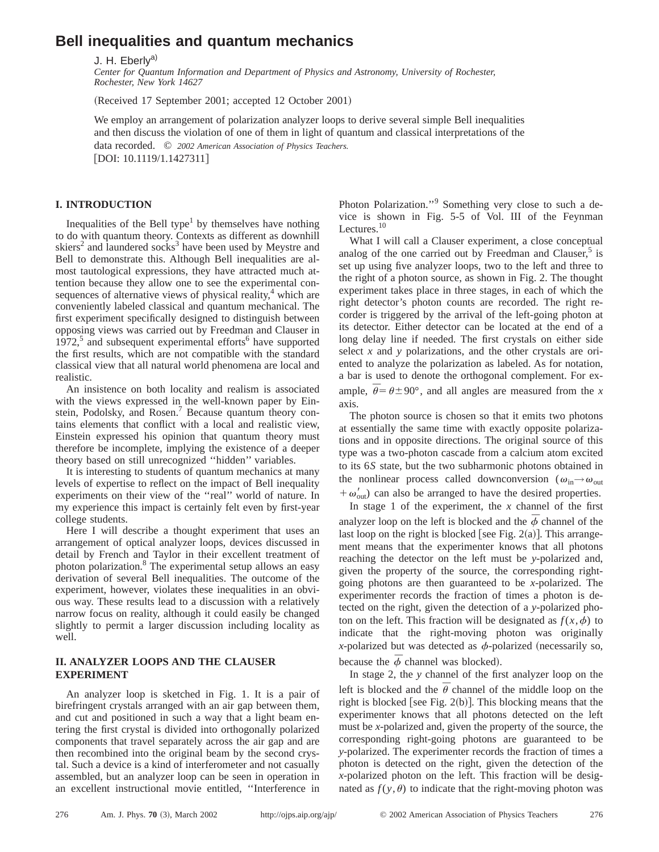# **Bell inequalities and quantum mechanics**

J. H. Eberly<sup>a)</sup>

*Center for Quantum Information and Department of Physics and Astronomy, University of Rochester, Rochester, New York 14627*

(Received 17 September 2001; accepted 12 October 2001)

We employ an arrangement of polarization analyzer loops to derive several simple Bell inequalities and then discuss the violation of one of them in light of quantum and classical interpretations of the data recorded. © *2002 American Association of Physics Teachers.*  $[$ DOI: 10.1119/1.1427311 $]$ 

## **I. INTRODUCTION**

Inequalities of the Bell type<sup>1</sup> by themselves have nothing to do with quantum theory. Contexts as different as downhill skiers<sup>2</sup> and laundered socks<sup>3</sup> have been used by Meystre and Bell to demonstrate this. Although Bell inequalities are almost tautological expressions, they have attracted much attention because they allow one to see the experimental consequences of alternative views of physical reality, $4$  which are conveniently labeled classical and quantum mechanical. The first experiment specifically designed to distinguish between opposing views was carried out by Freedman and Clauser in 1972, $<sup>5</sup>$  and subsequent experimental efforts<sup>6</sup> have supported</sup> the first results, which are not compatible with the standard classical view that all natural world phenomena are local and realistic.

An insistence on both locality and realism is associated with the views expressed in the well-known paper by Einstein, Podolsky, and Rosen.<sup>7</sup> Because quantum theory contains elements that conflict with a local and realistic view, Einstein expressed his opinion that quantum theory must therefore be incomplete, implying the existence of a deeper theory based on still unrecognized ''hidden'' variables.

It is interesting to students of quantum mechanics at many levels of expertise to reflect on the impact of Bell inequality experiments on their view of the "real" world of nature. In my experience this impact is certainly felt even by first-year college students.

Here I will describe a thought experiment that uses an arrangement of optical analyzer loops, devices discussed in detail by French and Taylor in their excellent treatment of photon polarization.<sup>8</sup> The experimental setup allows an easy derivation of several Bell inequalities. The outcome of the experiment, however, violates these inequalities in an obvious way. These results lead to a discussion with a relatively narrow focus on reality, although it could easily be changed slightly to permit a larger discussion including locality as well.

## **II. ANALYZER LOOPS AND THE CLAUSER EXPERIMENT**

An analyzer loop is sketched in Fig. 1. It is a pair of birefringent crystals arranged with an air gap between them, and cut and positioned in such a way that a light beam entering the first crystal is divided into orthogonally polarized components that travel separately across the air gap and are then recombined into the original beam by the second crystal. Such a device is a kind of interferometer and not casually assembled, but an analyzer loop can be seen in operation in an excellent instructional movie entitled, ''Interference in Photon Polarization.''9 Something very close to such a device is shown in Fig. 5-5 of Vol. III of the Feynman Lectures.<sup>10</sup>

What I will call a Clauser experiment, a close conceptual analog of the one carried out by Freedman and Clauser, $5$  is set up using five analyzer loops, two to the left and three to the right of a photon source, as shown in Fig. 2. The thought experiment takes place in three stages, in each of which the right detector's photon counts are recorded. The right recorder is triggered by the arrival of the left-going photon at its detector. Either detector can be located at the end of a long delay line if needed. The first crystals on either side select *x* and *y* polarizations, and the other crystals are oriented to analyze the polarization as labeled. As for notation, a bar is used to denote the orthogonal complement. For example,  $\overline{\theta} = \theta \pm 90^{\circ}$ , and all angles are measured from the *x* axis.

The photon source is chosen so that it emits two photons at essentially the same time with exactly opposite polarizations and in opposite directions. The original source of this type was a two-photon cascade from a calcium atom excited to its 6*S* state, but the two subharmonic photons obtained in the nonlinear process called downconversion ( $\omega_{in} \rightarrow \omega_{out}$  $+\omega'_{\text{out}}$  can also be arranged to have the desired properties.

In stage 1 of the experiment, the *x* channel of the first analyzer loop on the left is blocked and the  $\overline{\phi}$  channel of the last loop on the right is blocked [see Fig. 2(a)]. This arrangement means that the experimenter knows that all photons reaching the detector on the left must be *y*-polarized and, given the property of the source, the corresponding rightgoing photons are then guaranteed to be *x*-polarized. The experimenter records the fraction of times a photon is detected on the right, given the detection of a *y*-polarized photon on the left. This fraction will be designated as  $f(x, \phi)$  to indicate that the right-moving photon was originally *x*-polarized but was detected as  $\phi$ -polarized (necessarily so,

because the  $\bar{\phi}$  channel was blocked).

In stage 2, the *y* channel of the first analyzer loop on the left is blocked and the  $\bar{\theta}$  channel of the middle loop on the right is blocked [see Fig.  $2(b)$ ]. This blocking means that the experimenter knows that all photons detected on the left must be *x*-polarized and, given the property of the source, the corresponding right-going photons are guaranteed to be *y*-polarized. The experimenter records the fraction of times a photon is detected on the right, given the detection of the *x*-polarized photon on the left. This fraction will be designated as  $f(y, \theta)$  to indicate that the right-moving photon was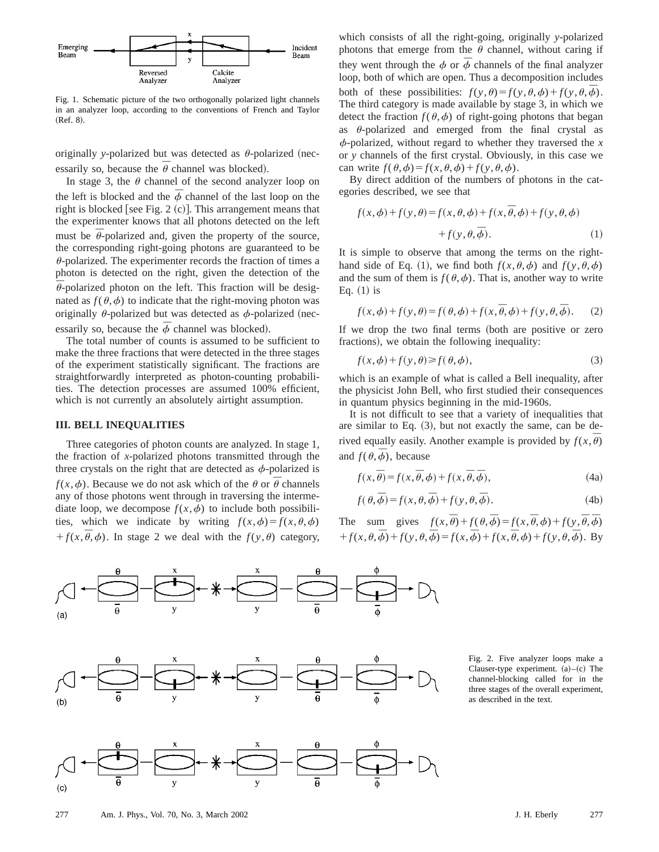

Fig. 1. Schematic picture of the two orthogonally polarized light channels in an analyzer loop, according to the conventions of French and Taylor  $(Ref. 8).$ 

originally *y*-polarized but was detected as  $\theta$ -polarized (necessarily so, because the  $\bar{\theta}$  channel was blocked).

In stage 3, the  $\theta$  channel of the second analyzer loop on the left is blocked and the  $\bar{\phi}$  channel of the last loop on the right is blocked [see Fig. 2  $(c)$ ]. This arrangement means that the experimenter knows that all photons detected on the left must be  $\bar{\theta}$ -polarized and, given the property of the source, the corresponding right-going photons are guaranteed to be  $\theta$ -polarized. The experimenter records the fraction of times a photon is detected on the right, given the detection of the  $\overline{\theta}$ -polarized photon on the left. This fraction will be designated as  $f(\theta, \phi)$  to indicate that the right-moving photon was originally  $\theta$ -polarized but was detected as  $\phi$ -polarized (necessarily so, because the  $\bar{\phi}$  channel was blocked).

The total number of counts is assumed to be sufficient to make the three fractions that were detected in the three stages of the experiment statistically significant. The fractions are straightforwardly interpreted as photon-counting probabilities. The detection processes are assumed 100% efficient, which is not currently an absolutely airtight assumption.

#### **III. BELL INEQUALITIES**

Three categories of photon counts are analyzed. In stage 1, the fraction of *x*-polarized photons transmitted through the three crystals on the right that are detected as  $\phi$ -polarized is *f*(*x*,  $\phi$ ). Because we do not ask which of the  $\theta$  or  $\bar{\theta}$  channels any of those photons went through in traversing the intermediate loop, we decompose  $f(x, \phi)$  to include both possibilities, which we indicate by writing  $f(x, \phi) = f(x, \theta, \phi)$  $f(x, \bar{\theta}, \phi)$ . In stage 2 we deal with the  $f(y, \theta)$  category, which consists of all the right-going, originally *y*-polarized photons that emerge from the  $\theta$  channel, without caring if they went through the  $\phi$  or  $\bar{\phi}$  channels of the final analyzer loop, both of which are open. Thus a decomposition includes both of these possibilities:  $f(y, \theta) = f(y, \theta, \phi) + f(y, \theta, \overline{\phi})$ . The third category is made available by stage 3, in which we detect the fraction  $f(\theta, \phi)$  of right-going photons that began as  $\theta$ -polarized and emerged from the final crystal as  $\phi$ -polarized, without regard to whether they traversed the *x* or *y* channels of the first crystal. Obviously, in this case we can write  $f(\theta, \phi) = f(x, \theta, \phi) + f(y, \theta, \phi)$ .

By direct addition of the numbers of photons in the categories described, we see that

$$
f(x, \phi) + f(y, \theta) = f(x, \theta, \phi) + f(x, \overline{\theta}, \phi) + f(y, \theta, \phi)
$$

$$
+ f(y, \theta, \overline{\phi}). \tag{1}
$$

It is simple to observe that among the terms on the righthand side of Eq. (1), we find both  $f(x, \theta, \phi)$  and  $f(y, \theta, \phi)$ and the sum of them is  $f(\theta, \phi)$ . That is, another way to write Eq.  $(1)$  is

$$
f(x, \phi) + f(y, \theta) = f(\theta, \phi) + f(x, \overline{\theta}, \phi) + f(y, \theta, \overline{\phi}).
$$
 (2)

If we drop the two final terms (both are positive or zero fractions), we obtain the following inequality:

$$
f(x, \phi) + f(y, \theta) \ge f(\theta, \phi), \tag{3}
$$

which is an example of what is called a Bell inequality, after the physicist John Bell, who first studied their consequences in quantum physics beginning in the mid-1960s.

It is not difficult to see that a variety of inequalities that are similar to Eq.  $(3)$ , but not exactly the same, can be derived equally easily. Another example is provided by  $f(x, \overline{\theta})$ and  $f(\theta,\bar{\phi})$ , because

$$
f(x,\overline{\theta}) = f(x,\overline{\theta},\phi) + f(x,\overline{\theta},\overline{\phi}),
$$
 (4a)

$$
f(\theta, \overline{\phi}) = f(x, \theta, \overline{\phi}) + f(y, \theta, \overline{\phi}).
$$
 (4b)

The sum gives  $f(x, \bar{\theta}) + f(\theta, \bar{\phi}) = f(x, \bar{\theta}, \phi) + f(y, \bar{\theta}, \bar{\phi})$  $f(x, \theta, \overline{\phi}) + f(y, \theta, \overline{\phi}) = f(x, \overline{\phi}) + f(x, \overline{\theta}, \phi) + f(y, \theta, \overline{\phi})$ . By



Fig. 2. Five analyzer loops make a Clauser-type experiment.  $(a)$ – $(c)$  The channel-blocking called for in the three stages of the overall experiment, as described in the text.

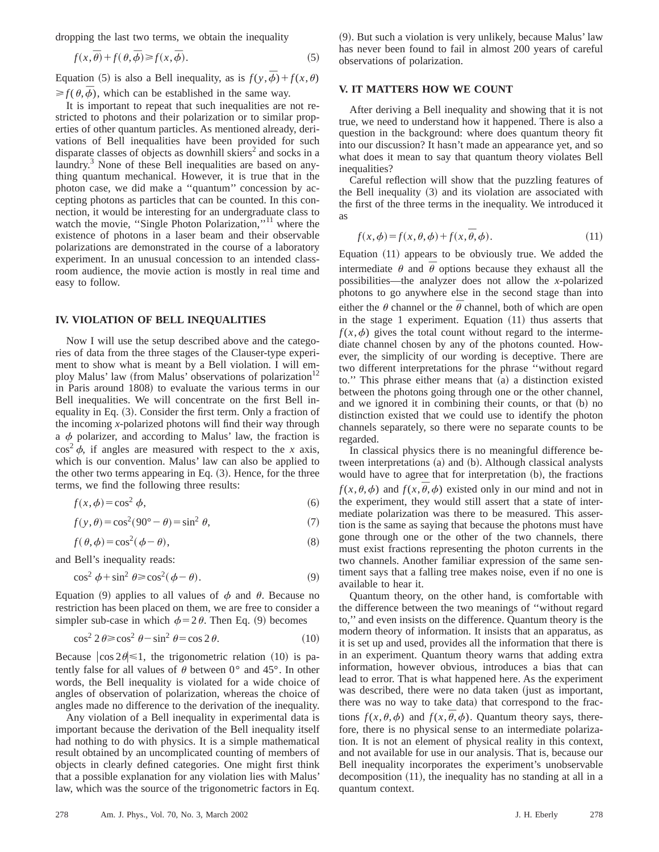dropping the last two terms, we obtain the inequality

$$
f(x,\overline{\theta}) + f(\theta,\overline{\phi}) \ge f(x,\overline{\phi}).
$$
\n(5)

Equation (5) is also a Bell inequality, as is  $f(y, \bar{\phi}) + f(x, \theta)$  $\geq f(\theta,\bar{\phi})$ , which can be established in the same way.

It is important to repeat that such inequalities are not restricted to photons and their polarization or to similar properties of other quantum particles. As mentioned already, derivations of Bell inequalities have been provided for such disparate classes of objects as downhill skiers<sup>2</sup> and socks in a laundry.<sup>3</sup> None of these Bell inequalities are based on anything quantum mechanical. However, it is true that in the photon case, we did make a ''quantum'' concession by accepting photons as particles that can be counted. In this connection, it would be interesting for an undergraduate class to watch the movie, "Single Photon Polarization,"<sup>11</sup> where the existence of photons in a laser beam and their observable polarizations are demonstrated in the course of a laboratory experiment. In an unusual concession to an intended classroom audience, the movie action is mostly in real time and easy to follow.

#### **IV. VIOLATION OF BELL INEQUALITIES**

Now I will use the setup described above and the categories of data from the three stages of the Clauser-type experiment to show what is meant by a Bell violation. I will employ Malus' law (from Malus' observations of polarization<sup>12</sup> in Paris around 1808) to evaluate the various terms in our Bell inequalities. We will concentrate on the first Bell inequality in Eq.  $(3)$ . Consider the first term. Only a fraction of the incoming *x*-polarized photons will find their way through a  $\phi$  polarizer, and according to Malus' law, the fraction is  $\cos^2 \phi$ , if angles are measured with respect to the *x* axis, which is our convention. Malus' law can also be applied to the other two terms appearing in Eq.  $(3)$ . Hence, for the three terms, we find the following three results:

$$
f(x,\phi) = \cos^2 \phi,\tag{6}
$$

$$
f(y, \theta) = \cos^2(90^\circ - \theta) = \sin^2 \theta,\tag{7}
$$

$$
f(\theta,\phi) = \cos^2(\phi - \theta),\tag{8}
$$

and Bell's inequality reads:

$$
\cos^2 \phi + \sin^2 \theta \ge \cos^2(\phi - \theta). \tag{9}
$$

Equation (9) applies to all values of  $\phi$  and  $\theta$ . Because no restriction has been placed on them, we are free to consider a simpler sub-case in which  $\phi=2\theta$ . Then Eq. (9) becomes

$$
\cos^2 2\theta \ge \cos^2 \theta - \sin^2 \theta = \cos 2\theta. \tag{10}
$$

Because  $|\cos 2\theta| \le 1$ , the trigonometric relation (10) is patently false for all values of  $\theta$  between 0° and 45°. In other words, the Bell inequality is violated for a wide choice of angles of observation of polarization, whereas the choice of angles made no difference to the derivation of the inequality.

Any violation of a Bell inequality in experimental data is important because the derivation of the Bell inequality itself had nothing to do with physics. It is a simple mathematical result obtained by an uncomplicated counting of members of objects in clearly defined categories. One might first think that a possible explanation for any violation lies with Malus' law, which was the source of the trigonometric factors in Eq.  $(9)$ . But such a violation is very unlikely, because Malus' law has never been found to fail in almost 200 years of careful observations of polarization.

### **V. IT MATTERS HOW WE COUNT**

After deriving a Bell inequality and showing that it is not true, we need to understand how it happened. There is also a question in the background: where does quantum theory fit into our discussion? It hasn't made an appearance yet, and so what does it mean to say that quantum theory violates Bell inequalities?

Careful reflection will show that the puzzling features of the Bell inequality  $(3)$  and its violation are associated with the first of the three terms in the inequality. We introduced it as

$$
f(x, \phi) = f(x, \theta, \phi) + f(x, \overline{\theta}, \phi).
$$
 (11)

Equation  $(11)$  appears to be obviously true. We added the intermediate  $\theta$  and  $\bar{\theta}$  options because they exhaust all the possibilities—the analyzer does not allow the *x*-polarized photons to go anywhere else in the second stage than into either the  $\theta$  channel or the  $\bar{\theta}$  channel, both of which are open in the stage 1 experiment. Equation  $(11)$  thus asserts that  $f(x, \phi)$  gives the total count without regard to the intermediate channel chosen by any of the photons counted. However, the simplicity of our wording is deceptive. There are two different interpretations for the phrase ''without regard to." This phrase either means that  $(a)$  a distinction existed between the photons going through one or the other channel, and we ignored it in combining their counts, or that  $(b)$  no distinction existed that we could use to identify the photon channels separately, so there were no separate counts to be regarded.

In classical physics there is no meaningful difference between interpretations (a) and (b). Although classical analysts would have to agree that for interpretation (b), the fractions  $f(x, \theta, \phi)$  and  $f(x, \bar{\theta}, \phi)$  existed only in our mind and not in

the experiment, they would still assert that a state of intermediate polarization was there to be measured. This assertion is the same as saying that because the photons must have gone through one or the other of the two channels, there must exist fractions representing the photon currents in the two channels. Another familiar expression of the same sentiment says that a falling tree makes noise, even if no one is available to hear it.

Quantum theory, on the other hand, is comfortable with the difference between the two meanings of ''without regard to,'' and even insists on the difference. Quantum theory is the modern theory of information. It insists that an apparatus, as it is set up and used, provides all the information that there is in an experiment. Quantum theory warns that adding extra information, however obvious, introduces a bias that can lead to error. That is what happened here. As the experiment was described, there were no data taken (just as important, there was no way to take data) that correspond to the fractions  $f(x, \theta, \phi)$  and  $f(x, \bar{\theta}, \phi)$ . Quantum theory says, therefore, there is no physical sense to an intermediate polarization. It is not an element of physical reality in this context, and not available for use in our analysis. That is, because our Bell inequality incorporates the experiment's unobservable decomposition  $(11)$ , the inequality has no standing at all in a quantum context.